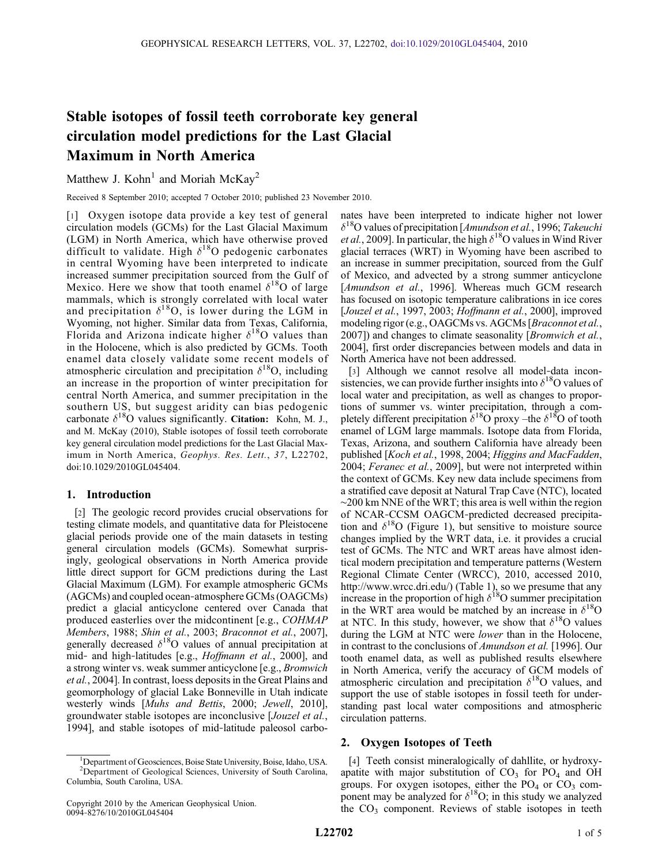# Stable isotopes of fossil teeth corroborate key general circulation model predictions for the Last Glacial Maximum in North America

Matthew J. Kohn<sup>1</sup> and Moriah McKay<sup>2</sup>

Received 8 September 2010; accepted 7 October 2010; published 23 November 2010.

[1] Oxygen isotope data provide a key test of general circulation models (GCMs) for the Last Glacial Maximum (LGM) in North America, which have otherwise proved difficult to validate. High  $\delta^{18}O$  pedogenic carbonates in central Wyoming have been interpreted to indicate increased summer precipitation sourced from the Gulf of Mexico. Here we show that tooth enamel  $\delta^{18}$ O of large mammals, which is strongly correlated with local water and precipitation  $\delta^{18}O$ , is lower during the LGM in Wyoming, not higher. Similar data from Texas, California, Florida and Arizona indicate higher  $\delta^{18}$ O values than in the Holocene, which is also predicted by GCMs. Tooth enamel data closely validate some recent models of atmospheric circulation and precipitation  $\delta^{18}O$ , including an increase in the proportion of winter precipitation for central North America, and summer precipitation in the southern US, but suggest aridity can bias pedogenic carbonate  $\delta^{18}O$  values significantly. Citation: Kohn, M. J., and M. McKay (2010), Stable isotopes of fossil teeth corroborate key general circulation model predictions for the Last Glacial Maximum in North America, Geophys. Res. Lett., 37, L22702, doi:10.1029/2010GL045404.

## 1. Introduction

[2] The geologic record provides crucial observations for testing climate models, and quantitative data for Pleistocene glacial periods provide one of the main datasets in testing general circulation models (GCMs). Somewhat surprisingly, geological observations in North America provide little direct support for GCM predictions during the Last Glacial Maximum (LGM). For example atmospheric GCMs (AGCMs) and coupled ocean‐atmosphere GCMs (OAGCMs) predict a glacial anticyclone centered over Canada that produced easterlies over the midcontinent [e.g., COHMAP Members, 1988; Shin et al., 2003; Braconnot et al., 2007], generally decreased  $\delta^{18}$ O values of annual precipitation at mid- and high-latitudes [e.g., Hoffmann et al., 2000], and a strong winter vs. weak summer anticyclone [e.g., Bromwich et al., 2004]. In contrast, loess deposits in the Great Plains and geomorphology of glacial Lake Bonneville in Utah indicate westerly winds [Muhs and Bettis, 2000; Jewell, 2010], groundwater stable isotopes are inconclusive [Jouzel et al., 1994], and stable isotopes of mid‐latitude paleosol carbonates have been interpreted to indicate higher not lower  $\delta^{18}$ O values of precipitation [Amundson et al., 1996; Takeuchi *et al.*, 2009]. In particular, the high  $\delta^{18}$ O values in Wind River glacial terraces (WRT) in Wyoming have been ascribed to an increase in summer precipitation, sourced from the Gulf of Mexico, and advected by a strong summer anticyclone [Amundson et al., 1996]. Whereas much GCM research has focused on isotopic temperature calibrations in ice cores [Jouzel et al., 1997, 2003; Hoffmann et al., 2000], improved modeling rigor (e.g., OAGCMs vs. AGCMs [*Braconnot et al.*, 2007]) and changes to climate seasonality [Bromwich et al., 2004], first order discrepancies between models and data in North America have not been addressed.

[3] Although we cannot resolve all model-data inconsistencies, we can provide further insights into  $\delta^{18}$ O values of local water and precipitation, as well as changes to proportions of summer vs. winter precipitation, through a completely different precipitation  $\delta^{18}$ O proxy –the  $\delta^{18}$ O of tooth enamel of LGM large mammals. Isotope data from Florida, Texas, Arizona, and southern California have already been published [Koch et al., 1998, 2004; Higgins and MacFadden, 2004; Feranec et al., 2009], but were not interpreted within the context of GCMs. Key new data include specimens from a stratified cave deposit at Natural Trap Cave (NTC), located ∼200 km NNE of the WRT; this area is well within the region of NCAR‐CCSM OAGCM‐predicted decreased precipitation and  $\delta^{18}O$  (Figure 1), but sensitive to moisture source changes implied by the WRT data, i.e. it provides a crucial test of GCMs. The NTC and WRT areas have almost identical modern precipitation and temperature patterns (Western Regional Climate Center (WRCC), 2010, accessed 2010, http://www.wrcc.dri.edu/) (Table 1), so we presume that any increase in the proportion of high  $\delta^{18}$ O summer precipitation in the WRT area would be matched by an increase in  $\delta^{18}O$ at NTC. In this study, however, we show that  $\delta^{18}O$  values during the LGM at NTC were lower than in the Holocene, in contrast to the conclusions of Amundson et al. [1996]. Our tooth enamel data, as well as published results elsewhere in North America, verify the accuracy of GCM models of atmospheric circulation and precipitation  $\delta^{18}$ O values, and support the use of stable isotopes in fossil teeth for understanding past local water compositions and atmospheric circulation patterns.

# 2. Oxygen Isotopes of Teeth

[4] Teeth consist mineralogically of dahllite, or hydroxyapatite with major substitution of  $CO<sub>3</sub>$  for  $PO<sub>4</sub>$  and OH groups. For oxygen isotopes, either the  $PO<sub>4</sub>$  or  $CO<sub>3</sub>$  component may be analyzed for  $\delta^{18}O$ ; in this study we analyzed the  $CO<sub>3</sub>$  component. Reviews of stable isotopes in teeth

<sup>&</sup>lt;sup>1</sup>Department of Geosciences, Boise State University, Boise, Idaho, USA. <sup>1</sup>Department of Geosciences, Boise State University, Boise, Idaho, USA.<br><sup>2</sup>Department of Geological Sciences, University of South Carolina,<br>umbia. South Carolina. USA Columbia, South Carolina, USA.

Copyright 2010 by the American Geophysical Union. 0094‐8276/10/2010GL045404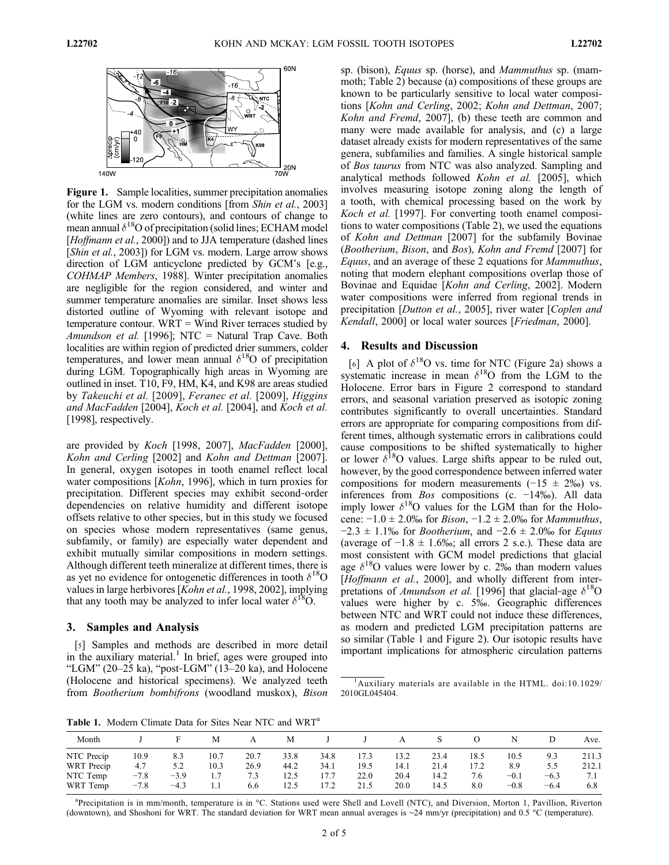

Figure 1. Sample localities, summer precipitation anomalies for the LGM vs. modern conditions [from Shin et al., 2003] (white lines are zero contours), and contours of change to mean annual  $\delta^{18}$ O of precipitation (solid lines; ECHAM model [Hoffmann et al., 2000]) and to JJA temperature (dashed lines [Shin et al., 2003]) for LGM vs. modern. Large arrow shows direction of LGM anticyclone predicted by GCM's [e.g., COHMAP Members, 1988]. Winter precipitation anomalies are negligible for the region considered, and winter and summer temperature anomalies are similar. Inset shows less distorted outline of Wyoming with relevant isotope and temperature contour. WRT = Wind River terraces studied by Amundson et al. [1996]; NTC = Natural Trap Cave. Both localities are within region of predicted drier summers, colder temperatures, and lower mean annual  $\delta^{18}$ O of precipitation during LGM. Topographically high areas in Wyoming are outlined in inset. T10, F9, HM, K4, and K98 are areas studied by Takeuchi et al. [2009], Feranec et al. [2009], Higgins and MacFadden [2004], Koch et al. [2004], and Koch et al. [1998], respectively.

are provided by Koch [1998, 2007], MacFadden [2000], Kohn and Cerling [2002] and Kohn and Dettman [2007]. In general, oxygen isotopes in tooth enamel reflect local water compositions [Kohn, 1996], which in turn proxies for precipitation. Different species may exhibit second‐order dependencies on relative humidity and different isotope offsets relative to other species, but in this study we focused on species whose modern representatives (same genus, subfamily, or family) are especially water dependent and exhibit mutually similar compositions in modern settings. Although different teeth mineralize at different times, there is as yet no evidence for ontogenetic differences in tooth  $\delta^{18}O$ values in large herbivores [Kohn et al., 1998, 2002], implying that any tooth may be analyzed to infer local water  $\delta^{18}O$ .

#### 3. Samples and Analysis

[5] Samples and methods are described in more detail in the auxiliary material. $<sup>1</sup>$  In brief, ages were grouped into</sup> "LGM" (20–25 ka), "post‐LGM" (13–20 ka), and Holocene (Holocene and historical specimens). We analyzed teeth from Bootherium bombifrons (woodland muskox), Bison

sp. (bison), Equus sp. (horse), and Mammuthus sp. (mammoth; Table 2) because (a) compositions of these groups are known to be particularly sensitive to local water compositions [Kohn and Cerling, 2002; Kohn and Dettman, 2007; Kohn and Fremd, 2007], (b) these teeth are common and many were made available for analysis, and (c) a large dataset already exists for modern representatives of the same genera, subfamilies and families. A single historical sample of Bos taurus from NTC was also analyzed. Sampling and analytical methods followed Kohn et al. [2005], which involves measuring isotope zoning along the length of a tooth, with chemical processing based on the work by Koch et al. [1997]. For converting tooth enamel compositions to water compositions (Table 2), we used the equations of Kohn and Dettman [2007] for the subfamily Bovinae (Bootherium, Bison, and Bos), Kohn and Fremd [2007] for Equus, and an average of these 2 equations for Mammuthus, noting that modern elephant compositions overlap those of Bovinae and Equidae [Kohn and Cerling, 2002]. Modern water compositions were inferred from regional trends in precipitation [Dutton et al., 2005], river water [Coplen and Kendall, 2000] or local water sources [Friedman, 2000].

# 4. Results and Discussion

[6] A plot of  $\delta^{18}$ O vs. time for NTC (Figure 2a) shows a systematic increase in mean  $\delta^{18}$ O from the LGM to the Holocene. Error bars in Figure 2 correspond to standard errors, and seasonal variation preserved as isotopic zoning contributes significantly to overall uncertainties. Standard errors are appropriate for comparing compositions from different times, although systematic errors in calibrations could cause compositions to be shifted systematically to higher or lower  $\delta^{18}$ O values. Large shifts appear to be ruled out, however, by the good correspondence between inferred water compositions for modern measurements  $(-15 \pm 2\%)$  vs. inferences from Bos compositions (c. −14‰). All data imply lower  $\delta^{18}$ O values for the LGM than for the Holocene:  $-1.0$  ± 2.0‰ for *Bison*,  $-1.2$  ± 2.0‰ for *Mammuthus*,  $-2.3 \pm 1.1\%$  for *Bootherium*, and  $-2.6 \pm 2.0\%$  for *Equus* (average of  $-1.8 \pm 1.6\%$ ); all errors 2 s.e.). These data are most consistent with GCM model predictions that glacial age  $\delta^{18}$ O values were lower by c. 2‰ than modern values [Hoffmann et al., 2000], and wholly different from interpretations of *Amundson et al.* [1996] that glacial-age  $\delta^{18}O$ values were higher by c. 5‰. Geographic differences between NTC and WRT could not induce these differences, as modern and predicted LGM precipitation patterns are so similar (Table 1 and Figure 2). Our isotopic results have important implications for atmospheric circulation patterns

Table 1. Modern Climate Data for Sites Near NTC and WRT<sup>a</sup>

| Month      |        |        | М    | А    | M    |      |      | А    |      |      |        |        | Ave.  |
|------------|--------|--------|------|------|------|------|------|------|------|------|--------|--------|-------|
| NTC Precip | 10.9   | 8.3    | 10.7 | 20.7 | 33.8 | 34.8 | 17.3 | 13.2 | 23.4 | 18.5 | 10.5   | 9.3    | 211.3 |
| WRT Precip | 4.7    | 5.2    | 10.3 | 26.9 | 44.2 | 34.1 | 19.5 | 14.1 | 21.4 | 17.2 | 8.9    | 5.5    | 212.1 |
| NTC Temp   | $-7.8$ | $-3.9$ |      | 7.3  | 12.5 | 17.7 | 22.0 | 20.4 | 14.2 | 7.6  | $-0.1$ | $-6.3$ | 7.1   |
| WRT Temp   | $-7.8$ | $-4.3$ |      | 6.6  | 12.5 | 17.2 | 21.5 | 20.0 | 14.5 | 8.0  | $-0.8$ | $-6.4$ | 6.8   |

a Precipitation is in mm/month, temperature is in °C. Stations used were Shell and Lovell (NTC), and Diversion, Morton 1, Pavillion, Riverton (downtown), and Shoshoni for WRT. The standard deviation for WRT mean annual averages is ∼24 mm/yr (precipitation) and 0.5 °C (temperature).

<sup>1</sup> Auxiliary materials are available in the HTML. doi:10.1029/ 2010GL045404.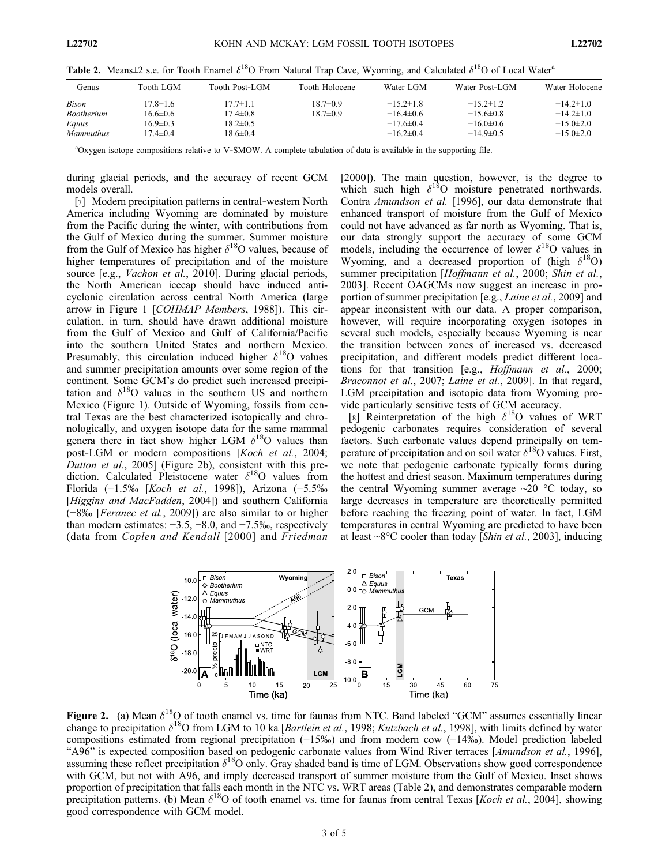**Table 2.** Means $\pm 2$  s.e. for Tooth Enamel  $\delta^{18}O$  From Natural Trap Cave, Wyoming, and Calculated  $\delta^{18}O$  of Local Water<sup>a</sup>

| Genus             | Tooth LGM-     | Tooth Post-LGM | Tooth Holocene | Water LGM       | Water Post-LGM  | Water Holocene |
|-------------------|----------------|----------------|----------------|-----------------|-----------------|----------------|
| <b>Bison</b>      | $17.8 \pm 1.6$ | $17.7 \pm 1.1$ | $18.7 \pm 0.9$ | $-15.2\pm1.8$   | $-15.2 \pm 1.2$ | $-14.2\pm1.0$  |
| <b>Bootherium</b> | $16.6 \pm 0.6$ | $17.4 \pm 0.8$ | $18.7 \pm 0.9$ | $-16.4\pm0.6$   | $-15.6\pm0.8$   | $-14.2\pm1.0$  |
| Equus             | $16.9 \pm 0.3$ | $18.2 \pm 0.5$ |                | $-17.6 \pm 0.4$ | $-16.0\pm0.6$   | $-15.0\pm2.0$  |
| <i>Mammuthus</i>  | $17.4 \pm 0.4$ | $18.6 \pm 0.4$ |                | $-16.2\pm0.4$   | $-14.9\pm0.5$   | $-15.0\pm2.0$  |

a Oxygen isotope compositions relative to V‐SMOW. A complete tabulation of data is available in the supporting file.

during glacial periods, and the accuracy of recent GCM models overall.

[7] Modern precipitation patterns in central-western North America including Wyoming are dominated by moisture from the Pacific during the winter, with contributions from the Gulf of Mexico during the summer. Summer moisture from the Gulf of Mexico has higher  $\delta^{18}$ O values, because of higher temperatures of precipitation and of the moisture source [e.g., *Vachon et al.*, 2010]. During glacial periods, the North American icecap should have induced anticyclonic circulation across central North America (large arrow in Figure 1 [COHMAP Members, 1988]). This circulation, in turn, should have drawn additional moisture from the Gulf of Mexico and Gulf of California/Pacific into the southern United States and northern Mexico. Presumably, this circulation induced higher  $\delta^{18}$ O values and summer precipitation amounts over some region of the continent. Some GCM's do predict such increased precipitation and  $\delta^{18}$ O values in the southern US and northern Mexico (Figure 1). Outside of Wyoming, fossils from central Texas are the best characterized isotopically and chronologically, and oxygen isotope data for the same mammal genera there in fact show higher LGM  $\delta^{18}$ O values than post-LGM or modern compositions [Koch et al., 2004; Dutton et al., 2005] (Figure 2b), consistent with this prediction. Calculated Pleistocene water  $\delta^{18}$ O values from Florida (−1.5‰ [Koch et al., 1998]), Arizona (−5.5‰ [Higgins and MacFadden, 2004]) and southern California (−8‰ [Feranec et al., 2009]) are also similar to or higher than modern estimates:  $-3.5, -8.0,$  and  $-7.5%$ , respectively (data from Coplen and Kendall [2000] and Friedman

[2000]). The main question, however, is the degree to which such high  $\delta^{18}$ O moisture penetrated northwards. Contra Amundson et al. [1996], our data demonstrate that enhanced transport of moisture from the Gulf of Mexico could not have advanced as far north as Wyoming. That is, our data strongly support the accuracy of some GCM models, including the occurrence of lower  $\delta^{18}O$  values in Wyoming, and a decreased proportion of (high  $\delta^{18}O$ ) summer precipitation [Hoffmann et al., 2000; Shin et al., 2003]. Recent OAGCMs now suggest an increase in proportion of summer precipitation [e.g., Laine et al., 2009] and appear inconsistent with our data. A proper comparison, however, will require incorporating oxygen isotopes in several such models, especially because Wyoming is near the transition between zones of increased vs. decreased precipitation, and different models predict different locations for that transition [e.g., *Hoffmann et al.*, 2000; Braconnot et al., 2007; Laine et al., 2009]. In that regard, LGM precipitation and isotopic data from Wyoming provide particularly sensitive tests of GCM accuracy.

[8] Reinterpretation of the high  $\delta^{18}$ O values of WRT pedogenic carbonates requires consideration of several factors. Such carbonate values depend principally on temperature of precipitation and on soil water  $\delta^{18}$ O values. First, we note that pedogenic carbonate typically forms during the hottest and driest season. Maximum temperatures during the central Wyoming summer average ∼20 °C today, so large decreases in temperature are theoretically permitted before reaching the freezing point of water. In fact, LGM temperatures in central Wyoming are predicted to have been at least ∼8°C cooler than today [Shin et al., 2003], inducing



Figure 2. (a) Mean  $\delta^{18}$ O of tooth enamel vs. time for faunas from NTC. Band labeled "GCM" assumes essentially linear change to precipitation  $\delta^{18}$ O from LGM to 10 ka [*Bartlein et al.*, 1998; *Kutzbach et al.*, 1998], with limits defined by water compositions estimated from regional precipitation (−15‰) and from modern cow (−14‰). Model prediction labeled "A96" is expected composition based on pedogenic carbonate values from Wind River terraces [Amundson et al., 1996], assuming these reflect precipitation  $\delta^{18}O$  only. Gray shaded band is time of LGM. Observations show good correspondence with GCM, but not with A96, and imply decreased transport of summer moisture from the Gulf of Mexico. Inset shows proportion of precipitation that falls each month in the NTC vs. WRT areas (Table 2), and demonstrates comparable modern precipitation patterns. (b) Mean  $\delta^{18}$ O of tooth enamel vs. time for faunas from central Texas [*Koch et al.*, 2004], showing good correspondence with GCM model.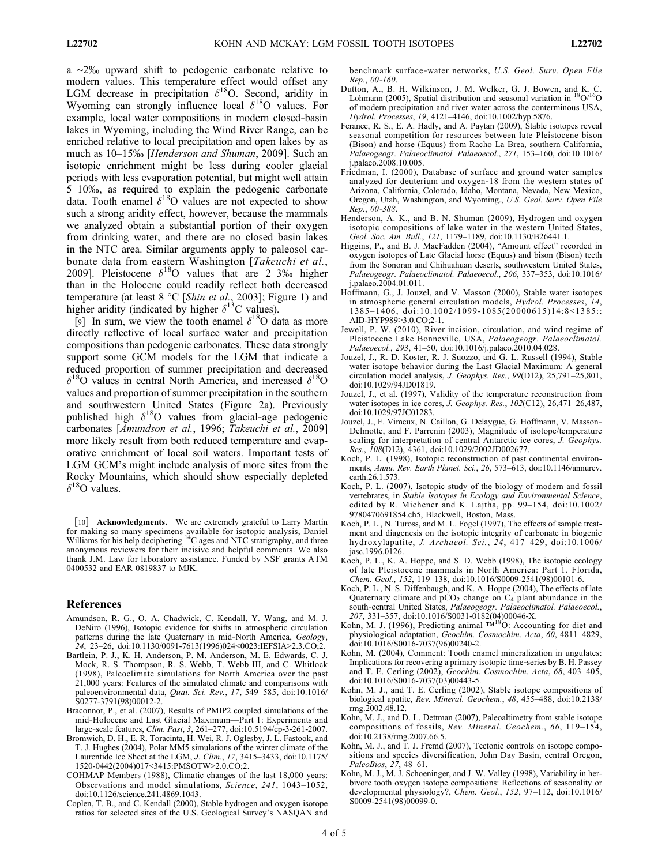a ∼2‰ upward shift to pedogenic carbonate relative to modern values. This temperature effect would offset any LGM decrease in precipitation  $\delta^{18}O$ . Second, aridity in Wyoming can strongly influence local  $\delta^{18}$ O values. For example, local water compositions in modern closed‐basin lakes in Wyoming, including the Wind River Range, can be enriched relative to local precipitation and open lakes by as much as 10–15‰ [Henderson and Shuman, 2009]. Such an isotopic enrichment might be less during cooler glacial periods with less evaporation potential, but might well attain 5–10‰, as required to explain the pedogenic carbonate data. Tooth enamel  $\delta^{18}$ O values are not expected to show such a strong aridity effect, however, because the mammals we analyzed obtain a substantial portion of their oxygen from drinking water, and there are no closed basin lakes in the NTC area. Similar arguments apply to paleosol carbonate data from eastern Washington [Takeuchi et al., 2009]. Pleistocene  $\delta^{18}$ O values that are 2–3‰ higher than in the Holocene could readily reflect both decreased temperature (at least 8 °C [Shin et al., 2003]; Figure 1) and higher aridity (indicated by higher  $\delta^{13}$ C values).

[9] In sum, we view the tooth enamel  $\delta^{18}$ O data as more directly reflective of local surface water and precipitation compositions than pedogenic carbonates. These data strongly support some GCM models for the LGM that indicate a reduced proportion of summer precipitation and decreased  $\delta^{18}$ O values in central North America, and increased  $\delta^{18}$ O values and proportion of summer precipitation in the southern and southwestern United States (Figure 2a). Previously published high  $\delta^{18}$ O values from glacial-age pedogenic carbonates [Amundson et al., 1996; Takeuchi et al., 2009] more likely result from both reduced temperature and evaporative enrichment of local soil waters. Important tests of LGM GCM's might include analysis of more sites from the Rocky Mountains, which should show especially depleted  $\delta^{18}$ O values.

[10] **Acknowledgments.** We are extremely grateful to Larry Martin for making so many specimens available for isotopic analysis, Daniel<br>Williams for his help deciphering <sup>14</sup>C ages and NTC stratigraphy, and three anonymous reviewers for their incisive and helpful comments. We also thank J.M. Law for laboratory assistance. Funded by NSF grants ATM 0400532 and EAR 0819837 to MJK.

## References

- Amundson, R. G., O. A. Chadwick, C. Kendall, Y. Wang, and M. J. DeNiro (1996), Isotopic evidence for shifts in atmospheric circulation patterns during the late Quaternary in mid-North America, Geology, 24, 23–26, doi:10.1130/0091-7613(1996)024<0023:IEFSIA>2.3.CO;2.
- Bartlein, P. J., K. H. Anderson, P. M. Anderson, M. E. Edwards, C. J. Mock, R. S. Thompson, R. S. Webb, T. Webb III, and C. Whitlock (1998), Paleoclimate simulations for North America over the past 21,000 years: Features of the simulated climate and comparisons with paleoenvironmental data, Quat. Sci. Rev., 17, 549-585, doi:10.1016/ S0277-3791(98)00012-2.
- Braconnot, P., et al. (2007), Results of PMIP2 coupled simulations of the mid‐Holocene and Last Glacial Maximum—Part 1: Experiments and large‐scale features, Clim. Past, 3, 261–277, doi:10.5194/cp-3-261-2007.
- Bromwich, D. H., E. R. Toracinta, H. Wei, R. J. Oglesby, J. L. Fastook, and T. J. Hughes (2004), Polar MM5 simulations of the winter climate of the Laurentide Ice Sheet at the LGM, J. Clim., 17, 3415–3433, doi:10.1175/ 1520-0442(2004)017<3415:PMSOTW>2.0.CO;2.
- COHMAP Members (1988), Climatic changes of the last 18,000 years: Observations and model simulations, Science, 241, 1043–1052, doi:10.1126/science.241.4869.1043.
- Coplen, T. B., and C. Kendall (2000), Stable hydrogen and oxygen isotope ratios for selected sites of the U.S. Geological Survey's NASQAN and

benchmark surface‐water networks, U.S. Geol. Surv. Open File Rep., 00‐160.

- Dutton, A., B. H. Wilkinson, J. M. Welker, G. J. Bowen, and K. C. Lohmann (2005), Spatial distribution and seasonal variation in  $^{18}O/^{16}O$ of modern precipitation and river water across the conterminous USA, Hydrol. Processes, 19, 4121–4146, doi:10.1002/hyp.5876.
- Feranec, R. S., E. A. Hadly, and A. Paytan (2009), Stable isotopes reveal seasonal competition for resources between late Pleistocene bison (Bison) and horse (Equus) from Racho La Brea, southern California, Palaeogeogr. Palaeoclimatol. Palaeoecol., 271, 153–160, doi:10.1016/ j.palaeo.2008.10.005.
- Friedman, I. (2000), Database of surface and ground water samples analyzed for deuterium and oxygen‐18 from the western states of Arizona, California, Colorado, Idaho, Montana, Nevada, New Mexico, Oregon, Utah, Washington, and Wyoming., U.S. Geol. Surv. Open File Rep., 00‐388.
- Henderson, A. K., and B. N. Shuman (2009), Hydrogen and oxygen isotopic compositions of lake water in the western United States, Geol. Soc. Am. Bull., 121, 1179–1189, doi:10.1130/B26441.1.
- Higgins, P., and B. J. MacFadden (2004), "Amount effect" recorded in oxygen isotopes of Late Glacial horse (Equus) and bison (Bison) teeth from the Sonoran and Chihuahuan deserts, southwestern United States, Palaeogeogr. Palaeoclimatol. Palaeoecol., 206, 337–353, doi:10.1016/ j.palaeo.2004.01.011.
- Hoffmann, G., J. Jouzel, and V. Masson (2000), Stable water isotopes in atmospheric general circulation models, Hydrol. Processes, 14, 1385–1406, doi:10.1002/1099-1085(20000615)14:8<1385:: AID-HYP989>3.0.CO;2-1.
- Jewell, P. W. (2010), River incision, circulation, and wind regime of Pleistocene Lake Bonneville, USA, Palaeogeogr. Palaeoclimatol. Palaeoecol., 293, 41–50, doi:10.1016/j.palaeo.2010.04.028.
- Jouzel, J., R. D. Koster, R. J. Suozzo, and G. L. Russell (1994), Stable water isotope behavior during the Last Glacial Maximum: A general circulation model analysis, J. Geophys. Res., 99(D12), 25,791-25,801, doi:10.1029/94JD01819.
- Jouzel, J., et al. (1997), Validity of the temperature reconstruction from water isotopes in ice cores, *J. Geophys. Res.*, 102(C12), 26,471-26,487, doi:10.1029/97JC01283.
- Jouzel, J., F. Vimeux, N. Caillon, G. Delaygue, G. Hoffmann, V. Masson‐ Delmotte, and F. Parrenin (2003), Magnitude of isotope/temperature scaling for interpretation of central Antarctic ice cores, J. Geophys. Res., 108(D12), 4361, doi:10.1029/2002JD002677.
- Koch, P. L. (1998), Isotopic reconstruction of past continental environments, Annu. Rev. Earth Planet. Sci., 26, 573–613, doi:10.1146/annurev. earth.26.1.573.
- Koch, P. L. (2007), Isotopic study of the biology of modern and fossil vertebrates, in Stable Isotopes in Ecology and Environmental Science, edited by R. Michener and K. Lajtha, pp. 99–154, doi:10.1002/ 9780470691854.ch5, Blackwell, Boston, Mass.
- Koch, P. L., N. Tuross, and M. L. Fogel (1997), The effects of sample treatment and diagenesis on the isotopic integrity of carbonate in biogenic hydroxylapatite, J. Archaeol. Sci., 24, 417-429, doi:10.1006/ jasc.1996.0126.
- Koch, P. L., K. A. Hoppe, and S. D. Webb (1998), The isotopic ecology of late Pleistocene mammals in North America: Part 1. Florida, Chem. Geol., 152, 119–138, doi:10.1016/S0009-2541(98)00101-6.
- Koch, P. L., N. S. Diffenbaugh, and K. A. Hoppe (2004), The effects of late Quaternary climate and  $pCO_2$  change on  $C_4$  plant abundance in the south-central United States, Palaeogeogr. Palaeoclimatol. Palaeoecol.,
- 207, 331–357, doi:10.1016/S0031-0182(04)00046-X.<br>Kohn, M. J. (1996), Predicting animal ™<sup>18</sup>O: Accounting for diet and physiological adaptation, Geochim. Cosmochim. Acta, 60, 4811–4829, doi:10.1016/S0016-7037(96)00240-2.
- Kohn, M. (2004), Comment: Tooth enamel mineralization in ungulates: Implications for recovering a primary isotopic time‐series by B. H. Passey and T. E. Cerling (2002), Geochim. Cosmochim. Acta, 68, 403–405, doi:10.1016/S0016-7037(03)00443-5.
- Kohn, M. J., and T. E. Cerling (2002), Stable isotope compositions of biological apatite, Rev. Mineral. Geochem., 48, 455–488, doi:10.2138/ rmg.2002.48.12.
- Kohn, M. J., and D. L. Dettman (2007), Paleoaltimetry from stable isotope compositions of fossils, Rev. Mineral. Geochem., 66, 119–154, doi:10.2138/rmg.2007.66.5.
- Kohn, M. J., and T. J. Fremd (2007), Tectonic controls on isotope compositions and species diversification, John Day Basin, central Oregon, PaleoBios,  $27, 48 - 61$ .
- Kohn, M. J., M. J. Schoeninger, and J. W. Valley (1998), Variability in herbivore tooth oxygen isotope compositions: Reflections of seasonality or developmental physiology?, Chem. Geol., 152, 97–112, doi:10.1016/ S0009-2541(98)00099-0.